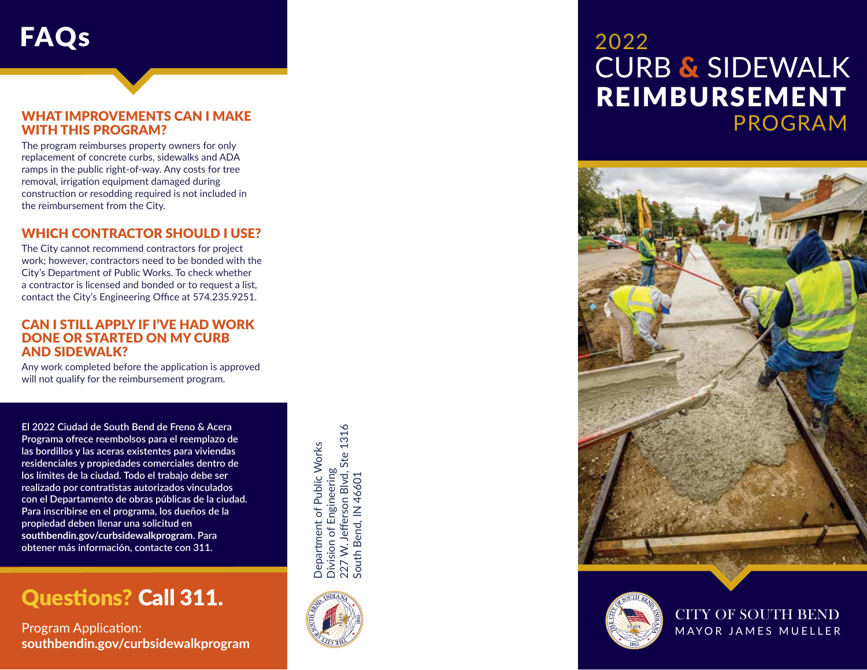## FAQs 2022

## WHAT IMPROVEMENTS CAN I MAKE<br>WITH THIS PROGRAM?

The program reimburses property owners for only replacement of concrete curbs, sidewalks and ADA ramps in the public right-of-way. Any costs for tree removal, irrigation equipment damaged during construction or resodding required is not included in the reimbursement from the City.

#### WHICH CONTRACTOR SHOULD I USE?

The City cannot recommend contractors for project work; however, contractors need to be bonded with the City's Department of Public Works. To check whether a contractor is licensed and bonded or to request a list, contact the City's Engineering Office at 574.235.9251.

#### CAN I STILL APPLY IF I'VE HAD WORK DONE OR STARTED ON MY CURB AND SIDEWALK?

Any work completed before the application is approved will not qualify for the reimbursement program.

**El 2022 Ciudad de South Bend de Freno & Acera Programa ofrece reembolsos para el reemplazo de las bordillos y las aceras existentes para viviendas residenciales y propiedades comerciales dentro de los límites de la ciudad. Todo el trabajo debe ser realizado por contratistas autorizados vinculados con el Departamento de obras públicas de la ciudad. Para inscribirse en el programa, los dueños de la propiedad deben llenar una solicitud en southbendin.gov/curbsidewalkprogram. Para obtener más información, contacte con 311.**

### Questions? Call 311.

Program Application: **southbendin.gov/curbsidewalkprogram**

227 W. Jefferson Blvd, Ste 1316<br>South Bend, IN 46601 227 W. Jefferson Blvd, Ste 1316 Department of Public Works Department of Public Works Division of Engineering Division of Engineering South Bend, IN 46601



# CURB & SIDEWALK REIMBURSEMENT PROGRAM





CITY OF SOUTH BEND MAYOR JAMES MUELLER